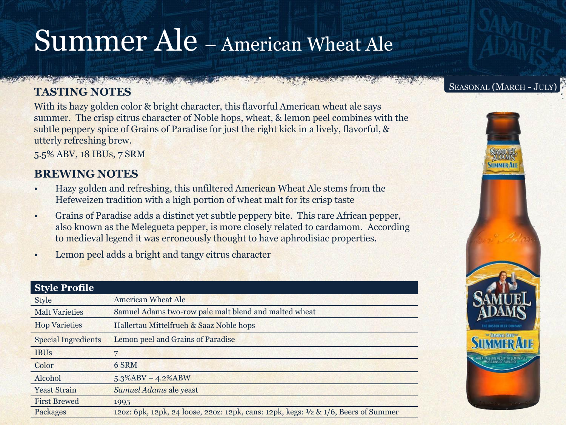# Summer Ale – American Wheat Ale

### **TASTING NOTES**

**A CONTRACT AND A CONTRACT OF A CONTRACT OF A CONTRACT OF A CONTRACT OF A CONTRACT OF A CONTRACT OF A CONTRACT OF** 

With its hazy golden color & bright character, this flavorful American wheat ale says summer. The crisp citrus character of Noble hops, wheat, & lemon peel combines with the subtle peppery spice of Grains of Paradise for just the right kick in a lively, flavorful, & utterly refreshing brew.

5.5% ABV, 18 IBUs, 7 SRM

## **BREWING NOTES**

- Hazy golden and refreshing, this unfiltered American Wheat Ale stems from the Hefeweizen tradition with a high portion of wheat malt for its crisp taste
- Grains of Paradise adds a distinct yet subtle peppery bite. This rare African pepper, also known as the Melegueta pepper, is more closely related to cardamom. According to medieval legend it was erroneously thought to have aphrodisiac properties.
- Lemon peel adds a bright and tangy citrus character

| <b>Style Profile</b>       |                                                                                     |
|----------------------------|-------------------------------------------------------------------------------------|
| <b>Style</b>               | <b>American Wheat Ale</b>                                                           |
| <b>Malt Varieties</b>      | Samuel Adams two-row pale malt blend and malted wheat                               |
| <b>Hop Varieties</b>       | Hallertau Mittelfrueh & Saaz Noble hops                                             |
| <b>Special Ingredients</b> | Lemon peel and Grains of Paradise                                                   |
| <b>IBUs</b>                |                                                                                     |
| Color                      | 6 SRM                                                                               |
| Alcohol                    | $5.3\%$ ABV - 4.2%ABW                                                               |
| <b>Yeast Strain</b>        | Samuel Adams ale yeast                                                              |
| <b>First Brewed</b>        | 1995                                                                                |
| Packages                   | 120z: 6pk, 12pk, 24 loose, 220z: 12pk, cans: 12pk, kegs: 1/2 & 1/6, Beers of Summer |
|                            |                                                                                     |

#### SEASONAL (MARCH - JULY)